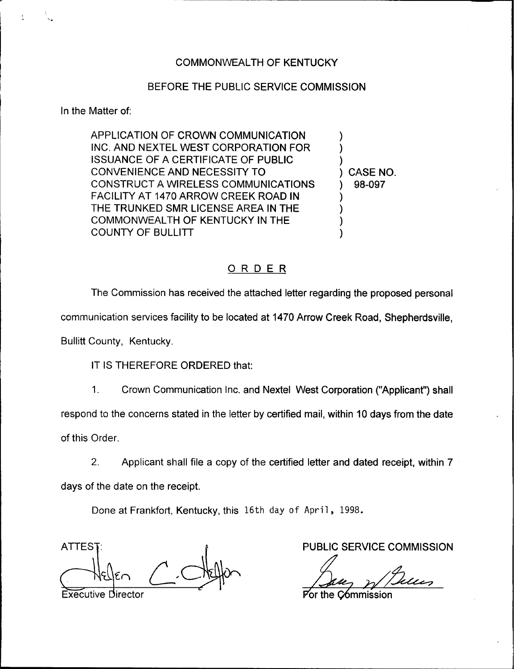## BEFORE THE PUBLIC SERVICE COMMISSION

In the Matter of;

APPLICATION OF CROWN COMMUNICATION INC. AND NEXTEL WEST CORPORATION FOR ISSUANCE OF A CERTIFICATE OF PUBLIC CONVENIENCE AND NECESSITY TO CONSTRUCT A WIRELESS COMMUNICATIONS FACILITY AT 1470 ARROW CREEK ROAD IN THE TRUNKED SMR LICENSE AREA IN THE COMMONWEALTH OF KENTUCKY IN THE COUNTY OF BULLITT

) CASE NO. ) 98-097

 $\overline{\phantom{a}}$  $\overline{\phantom{a}}$  $\overline{\phantom{a}}$ 

) ) ) )

## ORDER

The Commission has received the attached letter regarding the proposed personal

communication services facility to be located at 1470 Arrow Creek Road, Shepherdsville,

Bullitt County, Kentucky.

IT IS THEREFORE ORDERED that:

1. Crown Communication Inc. and Nextel West Corporation ("Applicant") sha respond to the concerns stated in the letter by certified mail, within 10 days from the date of this Order.

2. Applicant shall file a copy of the certified letter and dated receipt, within 7 days of the date on the receipt.

Done at Frankfort, Kentucky, this 16th day of April, 1998.

**ATTES** Executive Director **Portage Commission** 

PUBLIC SERVICE COMMISSION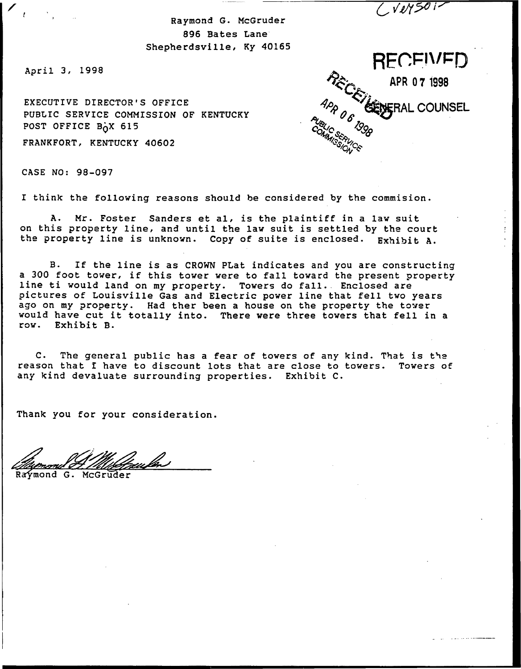$CV15012$ 

Raymond G. McGruder 896 Bates Lane Shepherdsville, Ky 40165

April 3, 1998

 $\mathscr{L}_{\mathcal{X}}$ 

EXECUTIVE DIRECTOR'S OFFICE PUBLIC SERVICE COMMISSION OF KENTUCKY POST OFFICE B<sub>O</sub>X 615

FRANKFORT, KENTUCKY 40602

CASE NO: 98-097

I think the folloving reasons should be considered by the commision.

A. Mr. Foster Sanders et al, is the plaintiff in <sup>a</sup> lav suit, on this property line, and until the lav suit is settled by the court the property line is unknown. Copy of suite is enclosed. Exhibit A.

B. If the line is as CROWN PLat indicates and you are constructing<br>a 300 foot tower, if this tower were to fall toward the present property line ti would land on my property. Towers do fall. Enclosed are pictures of Louisville Gas and Electric pover line that fell tvo years ago on my property. Had ther been a house on the property the tower vould have cut it totally into. There were three tovers that fell in <sup>a</sup> rov. Exhibit B-

C. The general public has a fear of towers of any kind. That is the reason that I have to discount lots that are close to tovers. Tovers of any kind devaluate surrounding properties. Exhibit C.

Thank you for your consideration.

Raymond G. McGruder